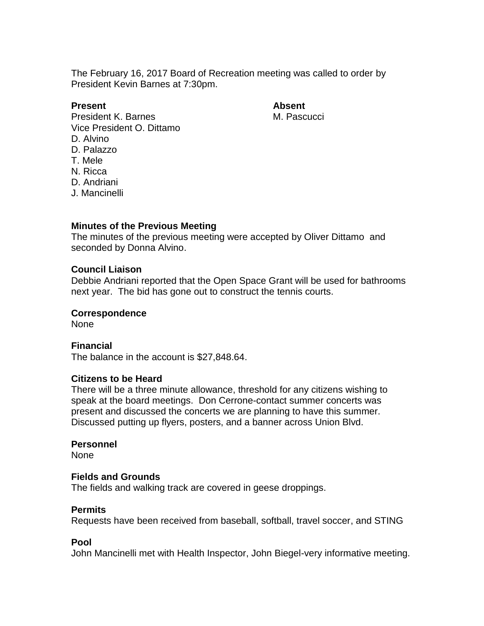The February 16, 2017 Board of Recreation meeting was called to order by President Kevin Barnes at 7:30pm.

# **Present Absent**

President K. Barnes M. Pascucci Vice President O. Dittamo D. Alvino D. Palazzo T. Mele N. Ricca D. Andriani

J. Mancinelli

### **Minutes of the Previous Meeting**

The minutes of the previous meeting were accepted by Oliver Dittamo and seconded by Donna Alvino.

### **Council Liaison**

Debbie Andriani reported that the Open Space Grant will be used for bathrooms next year. The bid has gone out to construct the tennis courts.

#### **Correspondence**

None

# **Financial**

The balance in the account is \$27,848.64.

## **Citizens to be Heard**

There will be a three minute allowance, threshold for any citizens wishing to speak at the board meetings. Don Cerrone-contact summer concerts was present and discussed the concerts we are planning to have this summer. Discussed putting up flyers, posters, and a banner across Union Blvd.

#### **Personnel**

None

#### **Fields and Grounds**

The fields and walking track are covered in geese droppings.

### **Permits**

Requests have been received from baseball, softball, travel soccer, and STING

### **Pool**

John Mancinelli met with Health Inspector, John Biegel-very informative meeting.